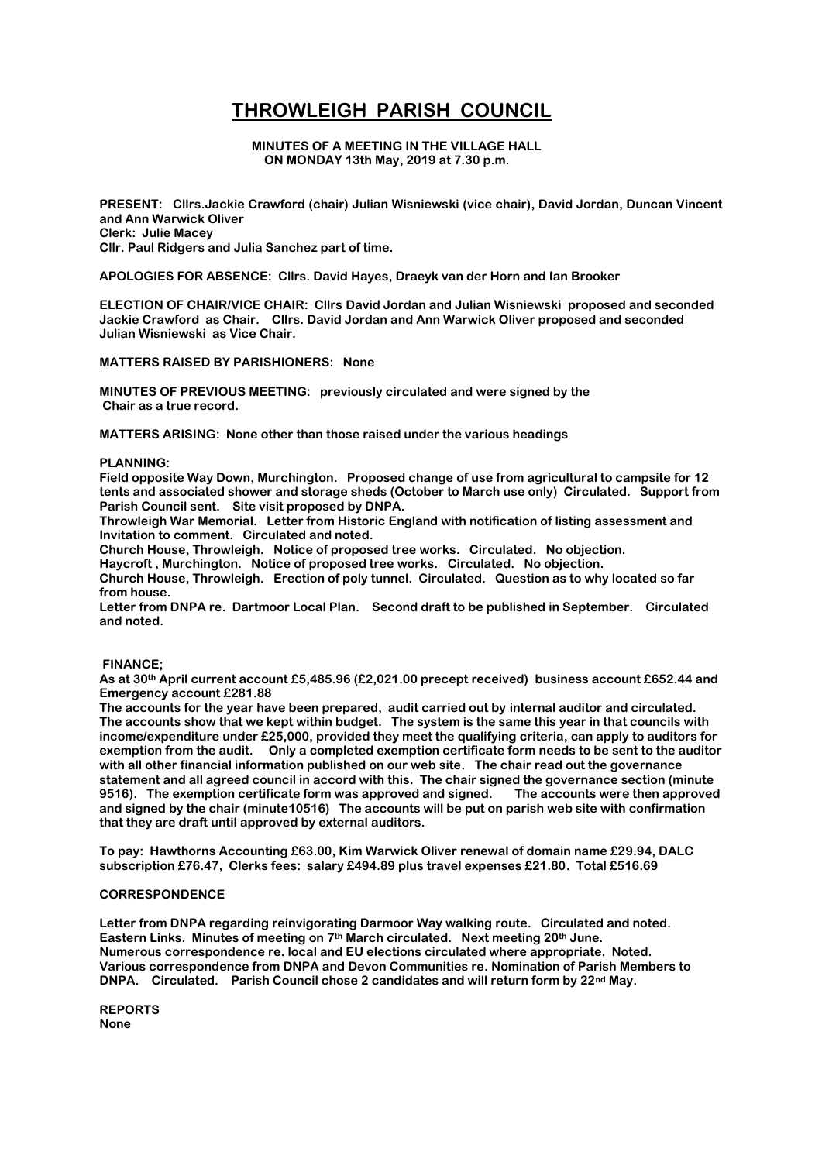# **THROWLEIGH PARISH COUNCIL**

**MINUTES OF A MEETING IN THE VILLAGE HALL ON MONDAY 13th May, 2019 at 7.30 p.m.**

**PRESENT: Cllrs.Jackie Crawford (chair) Julian Wisniewski (vice chair), David Jordan, Duncan Vincent and Ann Warwick Oliver Clerk: Julie Macey Cllr. Paul Ridgers and Julia Sanchez part of time.**

**APOLOGIES FOR ABSENCE: Cllrs. David Hayes, Draeyk van der Horn and Ian Brooker**

**ELECTION OF CHAIR/VICE CHAIR: Cllrs David Jordan and Julian Wisniewski proposed and seconded Jackie Crawford as Chair. Cllrs. David Jordan and Ann Warwick Oliver proposed and seconded Julian Wisniewski as Vice Chair.** 

**MATTERS RAISED BY PARISHIONERS: None**

**MINUTES OF PREVIOUS MEETING: previously circulated and were signed by the Chair as a true record.**

**MATTERS ARISING: None other than those raised under the various headings**

## **PLANNING:**

**Field opposite Way Down, Murchington. Proposed change of use from agricultural to campsite for 12 tents and associated shower and storage sheds (October to March use only) Circulated. Support from Parish Council sent. Site visit proposed by DNPA.**

**Throwleigh War Memorial. Letter from Historic England with notification of listing assessment and Invitation to comment. Circulated and noted.**

**Church House, Throwleigh. Notice of proposed tree works. Circulated. No objection.**

**Haycroft , Murchington. Notice of proposed tree works. Circulated. No objection.**

**Church House, Throwleigh. Erection of poly tunnel. Circulated. Question as to why located so far from house.**

**Letter from DNPA re. Dartmoor Local Plan. Second draft to be published in September. Circulated and noted.**

## **FINANCE;**

**As at 30th April current account £5,485.96 (£2,021.00 precept received) business account £652.44 and Emergency account £281.88**

**The accounts for the year have been prepared, audit carried out by internal auditor and circulated. The accounts show that we kept within budget. The system is the same this year in that councils with income/expenditure under £25,000, provided they meet the qualifying criteria, can apply to auditors for exemption from the audit. Only a completed exemption certificate form needs to be sent to the auditor with all other financial information published on our web site. The chair read out the governance statement and all agreed council in accord with this. The chair signed the governance section (minute 9516). The exemption certificate form was approved and signed. The accounts were then approved and signed by the chair (minute10516) The accounts will be put on parish web site with confirmation that they are draft until approved by external auditors.**

**To pay: Hawthorns Accounting £63.00, Kim Warwick Oliver renewal of domain name £29.94, DALC subscription £76.47, Clerks fees: salary £494.89 plus travel expenses £21.80. Total £516.69**

#### **CORRESPONDENCE**

**Letter from DNPA regarding reinvigorating Darmoor Way walking route. Circulated and noted. Eastern Links. Minutes of meeting on 7th March circulated. Next meeting 20th June. Numerous correspondence re. local and EU elections circulated where appropriate. Noted. Various correspondence from DNPA and Devon Communities re. Nomination of Parish Members to DNPA. Circulated. Parish Council chose 2 candidates and will return form by 22nd May.**

**REPORTS None**